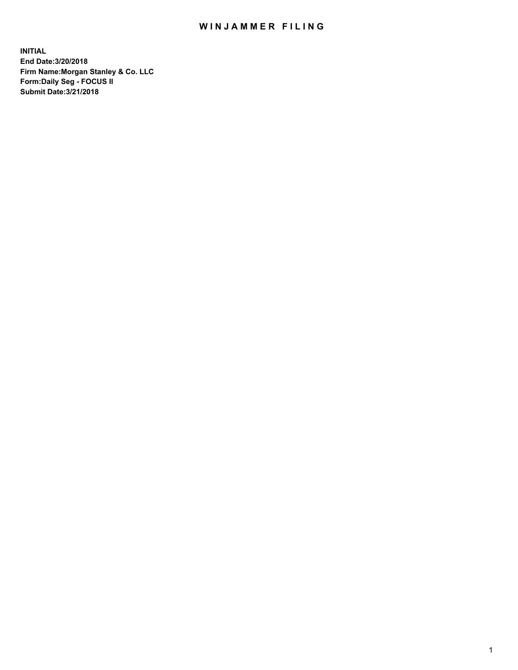## WIN JAMMER FILING

**INITIAL End Date:3/20/2018 Firm Name:Morgan Stanley & Co. LLC Form:Daily Seg - FOCUS II Submit Date:3/21/2018**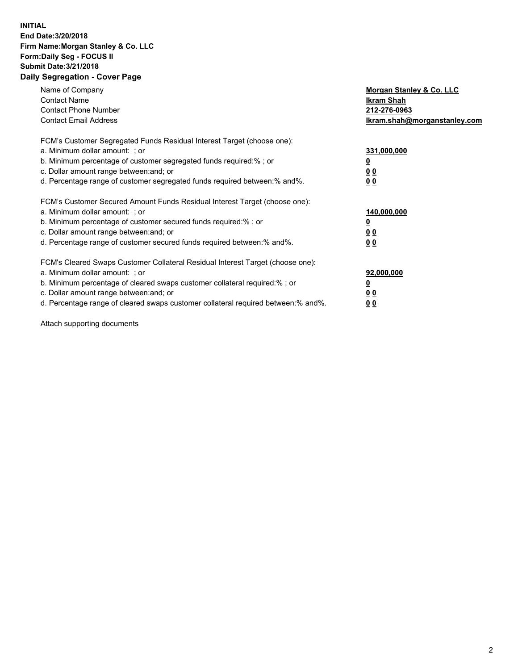## **INITIAL End Date:3/20/2018 Firm Name:Morgan Stanley & Co. LLC Form:Daily Seg - FOCUS II Submit Date:3/21/2018 Daily Segregation - Cover Page**

| Name of Company<br><b>Contact Name</b><br><b>Contact Phone Number</b><br><b>Contact Email Address</b>                                                                                                                                                                                                                          | Morgan Stanley & Co. LLC<br>Ikram Shah<br>212-276-0963<br>lkram.shah@morganstanley.com |
|--------------------------------------------------------------------------------------------------------------------------------------------------------------------------------------------------------------------------------------------------------------------------------------------------------------------------------|----------------------------------------------------------------------------------------|
| FCM's Customer Segregated Funds Residual Interest Target (choose one):<br>a. Minimum dollar amount: ; or<br>b. Minimum percentage of customer segregated funds required:%; or<br>c. Dollar amount range between: and; or<br>d. Percentage range of customer segregated funds required between:% and%.                          | 331,000,000<br><u>0</u><br>0 <sub>0</sub><br>00                                        |
| FCM's Customer Secured Amount Funds Residual Interest Target (choose one):<br>a. Minimum dollar amount: ; or<br>b. Minimum percentage of customer secured funds required:%; or<br>c. Dollar amount range between: and; or<br>d. Percentage range of customer secured funds required between:% and%.                            | 140,000,000<br>0 <sub>0</sub><br>0 <sub>0</sub>                                        |
| FCM's Cleared Swaps Customer Collateral Residual Interest Target (choose one):<br>a. Minimum dollar amount: ; or<br>b. Minimum percentage of cleared swaps customer collateral required:% ; or<br>c. Dollar amount range between: and; or<br>d. Percentage range of cleared swaps customer collateral required between:% and%. | 92,000,000<br>0 <sub>0</sub><br><u>00</u>                                              |

Attach supporting documents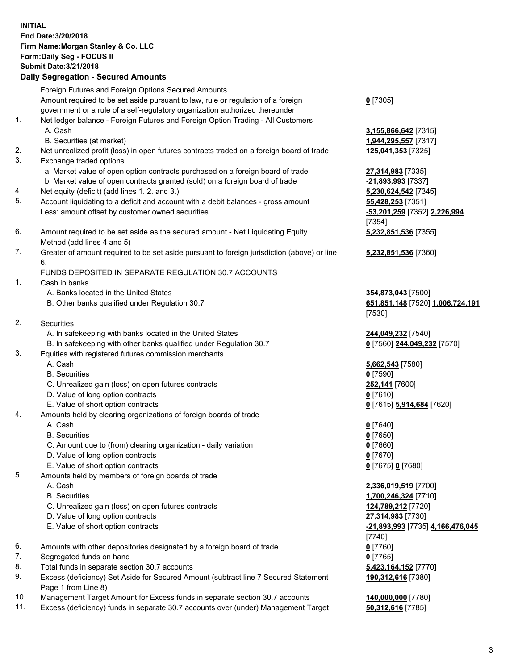## **INITIAL End Date:3/20/2018 Firm Name:Morgan Stanley & Co. LLC Form:Daily Seg - FOCUS II Submit Date:3/21/2018 Daily Segregation - Secured Amounts**

Foreign Futures and Foreign Options Secured Amounts Amount required to be set aside pursuant to law, rule or regulation of a foreign government or a rule of a self-regulatory organization authorized thereunder

- 1. Net ledger balance Foreign Futures and Foreign Option Trading All Customers A. Cash **3,155,866,642** [7315]
	- B. Securities (at market) **1,944,295,557** [7317]
- 2. Net unrealized profit (loss) in open futures contracts traded on a foreign board of trade **125,041,353** [7325]
- 3. Exchange traded options
	- a. Market value of open option contracts purchased on a foreign board of trade **27,314,983** [7335]
	- b. Market value of open contracts granted (sold) on a foreign board of trade **-21,893,993** [7337]
- 4. Net equity (deficit) (add lines 1. 2. and 3.) **5,230,624,542** [7345]
- 5. Account liquidating to a deficit and account with a debit balances gross amount **55,428,253** [7351] Less: amount offset by customer owned securities **-53,201,259** [7352] **2,226,994**
- 6. Amount required to be set aside as the secured amount Net Liquidating Equity Method (add lines 4 and 5)
- 7. Greater of amount required to be set aside pursuant to foreign jurisdiction (above) or line 6.

## FUNDS DEPOSITED IN SEPARATE REGULATION 30.7 ACCOUNTS

- 1. Cash in banks
	- A. Banks located in the United States **354,873,043** [7500]
	- B. Other banks qualified under Regulation 30.7 **651,851,148** [7520] **1,006,724,191**
- 2. Securities
	- A. In safekeeping with banks located in the United States **244,049,232** [7540]
	- B. In safekeeping with other banks qualified under Regulation 30.7 **0** [7560] **244,049,232** [7570]
- 3. Equities with registered futures commission merchants
	-
	-
	- C. Unrealized gain (loss) on open futures contracts **252,141** [7600]
	- D. Value of long option contracts **0** [7610]
- E. Value of short option contracts **0** [7615] **5,914,684** [7620]
- 4. Amounts held by clearing organizations of foreign boards of trade
	-
	-
	- C. Amount due to (from) clearing organization daily variation **0** [7660]
	- D. Value of long option contracts **0** [7670]
	- E. Value of short option contracts **0** [7675] **0** [7680]
- 5. Amounts held by members of foreign boards of trade
	-
	-
	- C. Unrealized gain (loss) on open futures contracts **124,789,212** [7720]
	- D. Value of long option contracts **27,314,983** [7730]
	- E. Value of short option contracts **-21,893,993** [7735] **4,166,476,045**
- 6. Amounts with other depositories designated by a foreign board of trade **0** [7760]
- 7. Segregated funds on hand **0** [7765]
- 8. Total funds in separate section 30.7 accounts **5,423,164,152** [7770]
- 9. Excess (deficiency) Set Aside for Secured Amount (subtract line 7 Secured Statement Page 1 from Line 8)
- 10. Management Target Amount for Excess funds in separate section 30.7 accounts **140,000,000** [7780]
- 11. Excess (deficiency) funds in separate 30.7 accounts over (under) Management Target **50,312,616** [7785]

**0** [7305]

[7354] **5,232,851,536** [7355]

**5,232,851,536** [7360]

[7530]

 A. Cash **5,662,543** [7580] B. Securities **0** [7590]

 A. Cash **0** [7640] B. Securities **0** [7650]

 A. Cash **2,336,019,519** [7700] B. Securities **1,700,246,324** [7710] [7740] **190,312,616** [7380]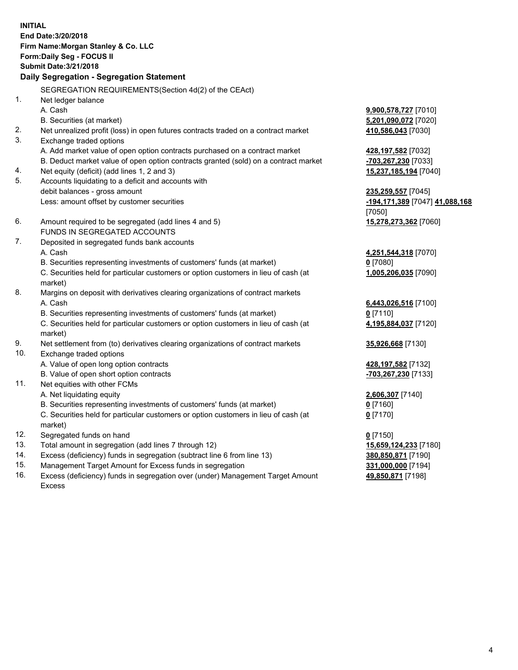**INITIAL End Date:3/20/2018 Firm Name:Morgan Stanley & Co. LLC Form:Daily Seg - FOCUS II Submit Date:3/21/2018 Daily Segregation - Segregation Statement** SEGREGATION REQUIREMENTS(Section 4d(2) of the CEAct) 1. Net ledger balance A. Cash **9,900,578,727** [7010] B. Securities (at market) **5,201,090,072** [7020] 2. Net unrealized profit (loss) in open futures contracts traded on a contract market **410,586,043** [7030] 3. Exchange traded options A. Add market value of open option contracts purchased on a contract market **428,197,582** [7032] B. Deduct market value of open option contracts granted (sold) on a contract market **-703,267,230** [7033] 4. Net equity (deficit) (add lines 1, 2 and 3) **15,237,185,194** [7040] 5. Accounts liquidating to a deficit and accounts with debit balances - gross amount **235,259,557** [7045] Less: amount offset by customer securities **-194,171,389** [7047] **41,088,168** [7050] 6. Amount required to be segregated (add lines 4 and 5) **15,278,273,362** [7060] FUNDS IN SEGREGATED ACCOUNTS 7. Deposited in segregated funds bank accounts A. Cash **4,251,544,318** [7070] B. Securities representing investments of customers' funds (at market) **0** [7080] C. Securities held for particular customers or option customers in lieu of cash (at market) **1,005,206,035** [7090] 8. Margins on deposit with derivatives clearing organizations of contract markets A. Cash **6,443,026,516** [7100] B. Securities representing investments of customers' funds (at market) **0** [7110] C. Securities held for particular customers or option customers in lieu of cash (at market) **4,195,884,037** [7120] 9. Net settlement from (to) derivatives clearing organizations of contract markets **35,926,668** [7130] 10. Exchange traded options A. Value of open long option contracts **428,197,582** [7132] B. Value of open short option contracts **-703,267,230** [7133] 11. Net equities with other FCMs A. Net liquidating equity **2,606,307** [7140] B. Securities representing investments of customers' funds (at market) **0** [7160] C. Securities held for particular customers or option customers in lieu of cash (at market) **0** [7170] 12. Segregated funds on hand **0** [7150] 13. Total amount in segregation (add lines 7 through 12) **15,659,124,233** [7180] 14. Excess (deficiency) funds in segregation (subtract line 6 from line 13) **380,850,871** [7190]

- 15. Management Target Amount for Excess funds in segregation **331,000,000** [7194]
- 16. Excess (deficiency) funds in segregation over (under) Management Target Amount Excess

**49,850,871** [7198]